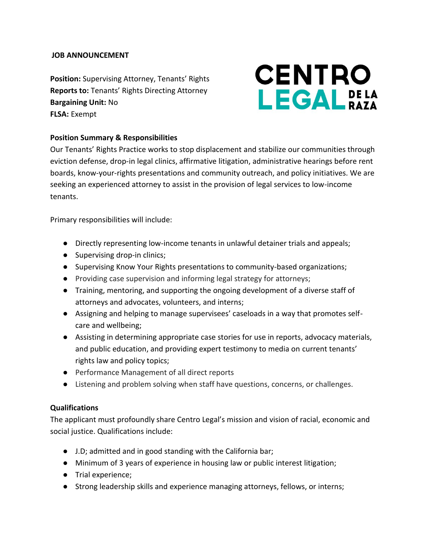#### **JOB ANNOUNCEMENT**

**Position:** Supervising Attorney, Tenants' Rights **Reports to:** Tenants' Rights Directing Attorney **Bargaining Unit:** No **FLSA:** Exempt

# **CENTRO LEGAL** DELA

# **Position Summary & Responsibilities**

Our Tenants' Rights Practice works to stop displacement and stabilize our communities through eviction defense, drop-in legal clinics, affirmative litigation, administrative hearings before rent boards, know-your-rights presentations and community outreach, and policy initiatives. We are seeking an experienced attorney to assist in the provision of legal services to low-income tenants.

Primary responsibilities will include:

- Directly representing low-income tenants in unlawful detainer trials and appeals;
- Supervising drop-in clinics;
- Supervising Know Your Rights presentations to community-based organizations;
- Providing case supervision and informing legal strategy for attorneys;
- Training, mentoring, and supporting the ongoing development of a diverse staff of attorneys and advocates, volunteers, and interns;
- Assigning and helping to manage supervisees' caseloads in a way that promotes selfcare and wellbeing;
- Assisting in determining appropriate case stories for use in reports, advocacy materials, and public education, and providing expert testimony to media on current tenants' rights law and policy topics;
- Performance Management of all direct reports
- Listening and problem solving when staff have questions, concerns, or challenges.

#### **Qualifications**

The applicant must profoundly share Centro Legal's mission and vision of racial, economic and social justice. Qualifications include:

- J.D; admitted and in good standing with the California bar;
- Minimum of 3 years of experience in housing law or public interest litigation;
- Trial experience;
- Strong leadership skills and experience managing attorneys, fellows, or interns;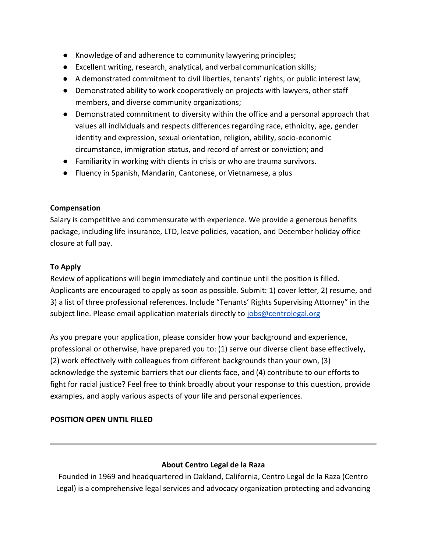- Knowledge of and adherence to community lawyering principles;
- Excellent writing, research, analytical, and verbal communication skills;
- A demonstrated commitment to civil liberties, tenants' rights, or public interest law;
- Demonstrated ability to work cooperatively on projects with lawyers, other staff members, and diverse community organizations;
- Demonstrated commitment to diversity within the office and a personal approach that values all individuals and respects differences regarding race, ethnicity, age, gender identity and expression, sexual orientation, religion, ability, socio-economic circumstance, immigration status, and record of arrest or conviction; and
- Familiarity in working with clients in crisis or who are trauma survivors.
- Fluency in Spanish, Mandarin, Cantonese, or Vietnamese, a plus

## **Compensation**

Salary is competitive and commensurate with experience. We provide a generous benefits package, including life insurance, LTD, leave policies, vacation, and December holiday office closure at full pay.

## **To Apply**

Review of applications will begin immediately and continue until the position is filled. Applicants are encouraged to apply as soon as possible. Submit: 1) cover letter, 2) resume, and 3) a list of three professional references. Include "Tenants' Rights Supervising Attorney" in the subject line. Please email application materials directly to [jobs@centrolegal.org](mailto:jobs@centrolegal.org)

As you prepare your application, please consider how your background and experience, professional or otherwise, have prepared you to: (1) serve our diverse client base effectively, (2) work effectively with colleagues from different backgrounds than your own, (3) acknowledge the systemic barriers that our clients face, and (4) contribute to our efforts to fight for racial justice? Feel free to think broadly about your response to this question, provide examples, and apply various aspects of your life and personal experiences.

# **POSITION OPEN UNTIL FILLED**

#### **About Centro Legal de la Raza**

Founded in 1969 and headquartered in Oakland, California, Centro Legal de la Raza (Centro Legal) is a comprehensive legal services and advocacy organization protecting and advancing